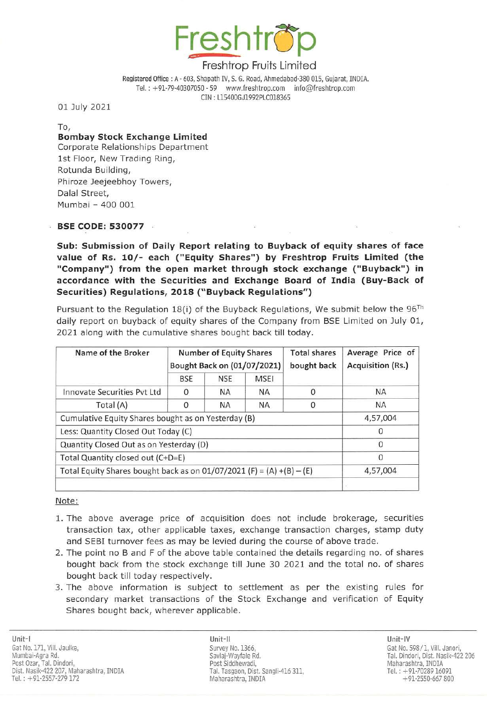

Registered Office : A - 603, Shapath IV, S. G. Road, Ahmedabad-380 015, Gujarat, INDIA. Tel. : +91-79-40307050 - 59 www.freshtrop.com info@freshtrop.com CIN: L15400GJ1992PLC018365

01 July 2021

To,

#### Bombay Stock Ex change Limited Corporate Relationships Department

1st Floor, New Trading Ring, Rotunda Building, Phiroze Jeejeebhoy Towers, Dalal Street, Mumbai - 400 001

### BSE CODE: 530077

Sub: Submission of Daily Report relating to Buyback of equity shares of face value of Rs. 10/- each ("Equity Shares") by Freshtrop Fruits Limited (the "Company") from the open market through stock exchange ("Buyback") in accordance with the Securities and Ex change Board of India (Buy-Back of Securities) Regulations, 2018 (" Buyback Regulations" )

Pursuant to the Regulation 18(i) of the Buyback Regulations, We submit below the  $96^{Th}$ daily report on buyback of equity shares of the Company from BSE Limited on July 01, 2021 along with the cumulative shares bought back till today.

| Name of the Broker                                                    | <b>Number of Equity Shares</b><br>Bought Back on (01/07/2021) |            |             | <b>Total shares</b><br>bought back | Average Price of<br>Acquisition (Rs.) |
|-----------------------------------------------------------------------|---------------------------------------------------------------|------------|-------------|------------------------------------|---------------------------------------|
|                                                                       | <b>BSE</b>                                                    | <b>NSE</b> | <b>MSEI</b> |                                    |                                       |
| Innovate Securities Pyt Ltd                                           | 0                                                             | <b>NA</b>  | <b>NA</b>   |                                    | <b>NA</b>                             |
| Total (A)                                                             | 0                                                             | <b>NA</b>  | <b>NA</b>   | $\Omega$                           | <b>NA</b>                             |
| Cumulative Equity Shares bought as on Yesterday (B)                   |                                                               |            |             |                                    | 4,57,004                              |
| Less: Quantity Closed Out Today (C)                                   |                                                               |            |             |                                    | 0                                     |
| Quantity Closed Out as on Yesterday (D)                               |                                                               |            |             |                                    | $\Omega$                              |
| Total Quantity closed out (C+D=E)                                     |                                                               |            |             |                                    | $\Omega$                              |
| Total Equity Shares bought back as on 01/07/2021 (F) = (A) +(B) - (E) | 4,57,004                                                      |            |             |                                    |                                       |
|                                                                       |                                                               |            |             |                                    |                                       |

#### Note:

- 1. The above average price of acquisition does not include brokerage, securities transaction tax, other applicable taxes, exchange transaction charges, stamp duty and SEBI turnover fees as may be levied during the course of above trade.
- 2. The point no B and F of the above table contained the details regarding no. of shares bought back from the stock exchange till June 30 2021 and the total no. of shares bought back till today respectively.
- 3. The above information is subject to settlement as per the existing rules for secondary market transactions of the Stock Exchange and verification of Equity Shares bought back, wherever applicable.

Unit-Il Unit-IV Survey No. 1366, Savlaj-Wayfale Rd. Post Siddhewadi, Tal. Tasgaon, Dist. Sangli-416 311. Maharashtra, INDIA